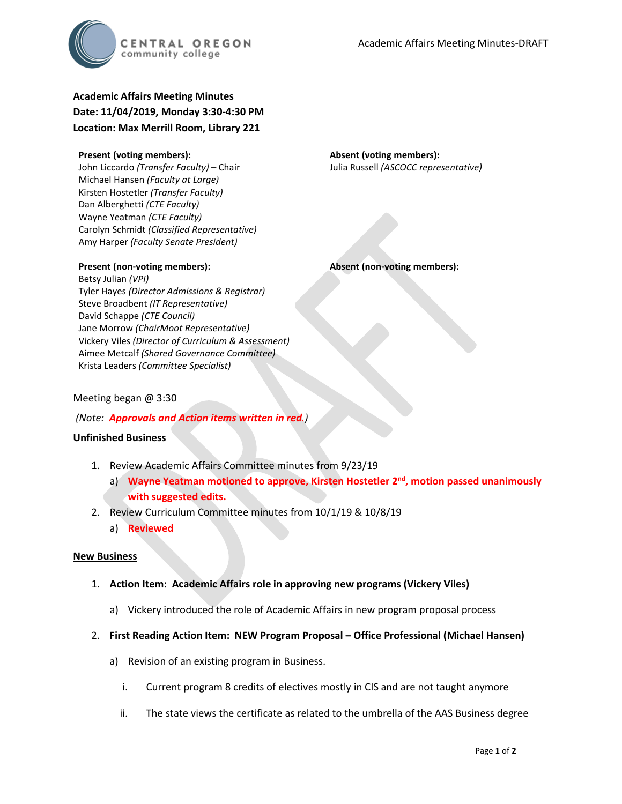

**Academic Affairs Meeting Minutes Date: 11/04/2019, Monday 3:30-4:30 PM Location: Max Merrill Room, Library 221**

#### **Present (voting members):**

John Liccardo *(Transfer Faculty)* – Chair Michael Hansen *(Faculty at Large)* Kirsten Hostetler *(Transfer Faculty)* Dan Alberghetti *(CTE Faculty)* Wayne Yeatman *(CTE Faculty)* Carolyn Schmidt *(Classified Representative)* Amy Harper *(Faculty Senate President)*

#### **Present (non-voting members):**

Betsy Julian *(VPI)* Tyler Hayes *(Director Admissions & Registrar)* Steve Broadbent *(IT Representative)* David Schappe *(CTE Council)* Jane Morrow *(ChairMoot Representative)* Vickery Viles *(Director of Curriculum & Assessment)* Aimee Metcalf *(Shared Governance Committee)* Krista Leaders *(Committee Specialist)*

**Absent (non-voting members):**

**Absent (voting members):**

Julia Russell *(ASCOCC representative)*

#### Meeting began @ 3:30

*(Note: Approvals and Action items written in red.)*

#### **Unfinished Business**

- 1. Review Academic Affairs Committee minutes from 9/23/19
	- a) **Wayne Yeatman motioned to approve, Kirsten Hostetler 2nd, motion passed unanimously with suggested edits.**
- 2. Review Curriculum Committee minutes from 10/1/19 & 10/8/19
	- a) **Reviewed**

#### **New Business**

- 1. **Action Item: Academic Affairs role in approving new programs (Vickery Viles)**
	- a) Vickery introduced the role of Academic Affairs in new program proposal process
- 2. **First Reading Action Item: NEW Program Proposal – Office Professional (Michael Hansen)**
	- a) Revision of an existing program in Business.
		- i. Current program 8 credits of electives mostly in CIS and are not taught anymore
		- ii. The state views the certificate as related to the umbrella of the AAS Business degree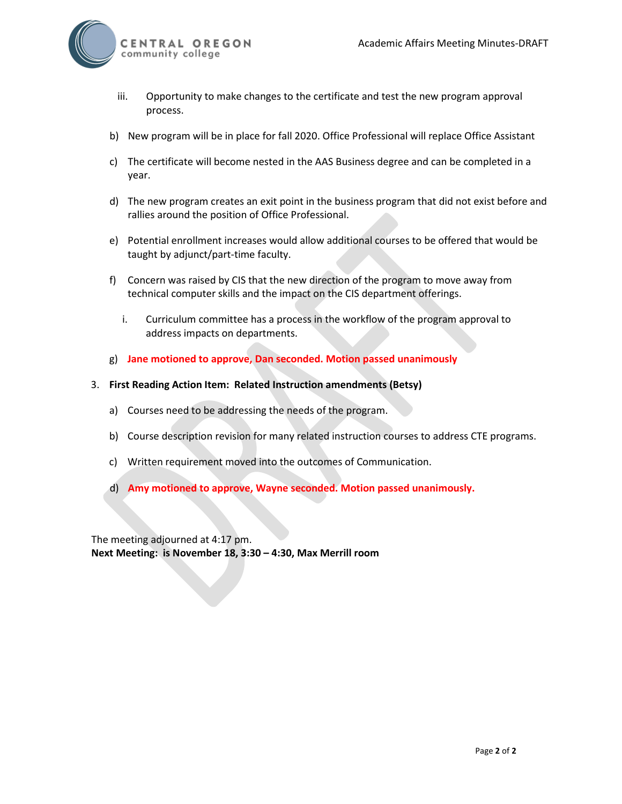

- iii. Opportunity to make changes to the certificate and test the new program approval process.
- b) New program will be in place for fall 2020. Office Professional will replace Office Assistant
- c) The certificate will become nested in the AAS Business degree and can be completed in a year.
- d) The new program creates an exit point in the business program that did not exist before and rallies around the position of Office Professional.
- e) Potential enrollment increases would allow additional courses to be offered that would be taught by adjunct/part-time faculty.
- f) Concern was raised by CIS that the new direction of the program to move away from technical computer skills and the impact on the CIS department offerings.
	- i. Curriculum committee has a process in the workflow of the program approval to address impacts on departments.
- g) **Jane motioned to approve, Dan seconded. Motion passed unanimously**
- 3. **First Reading Action Item: Related Instruction amendments (Betsy)**
	- a) Courses need to be addressing the needs of the program.
	- b) Course description revision for many related instruction courses to address CTE programs.
	- c) Written requirement moved into the outcomes of Communication.
	- d) **Amy motioned to approve, Wayne seconded. Motion passed unanimously.**

The meeting adjourned at 4:17 pm. **Next Meeting: is November 18, 3:30 – 4:30, Max Merrill room**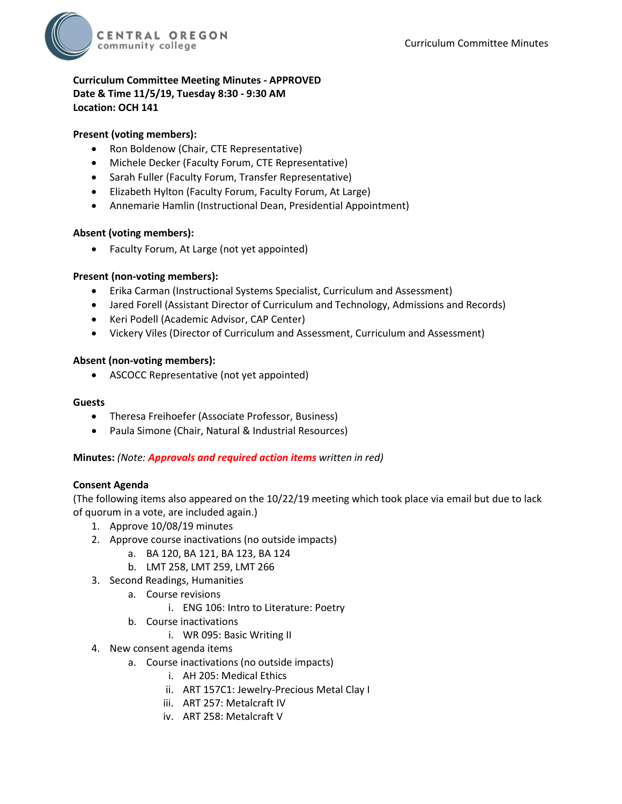

## **Curriculum Committee Meeting Minutes - APPROVED Date & Time 11/5/19, Tuesday 8:30 - 9:30 AM Location: OCH 141**

## **Present (voting members):**

- Ron Boldenow (Chair, CTE Representative)
- Michele Decker (Faculty Forum, CTE Representative)
- Sarah Fuller (Faculty Forum, Transfer Representative)
- Elizabeth Hylton (Faculty Forum, Faculty Forum, At Large)
- Annemarie Hamlin (Instructional Dean, Presidential Appointment)

### **Absent (voting members):**

• Faculty Forum, At Large (not yet appointed)

### **Present (non-voting members):**

- Erika Carman (Instructional Systems Specialist, Curriculum and Assessment)
- Jared Forell (Assistant Director of Curriculum and Technology, Admissions and Records)
- Keri Podell (Academic Advisor, CAP Center)
- Vickery Viles (Director of Curriculum and Assessment, Curriculum and Assessment)

### **Absent (non-voting members):**

• ASCOCC Representative (not yet appointed)

#### **Guests**

- Theresa Freihoefer (Associate Professor, Business)
- Paula Simone (Chair, Natural & Industrial Resources)

### **Minutes:** *(Note: Approvals and required action items written in red)*

### **Consent Agenda**

(The following items also appeared on the 10/22/19 meeting which took place via email but due to lack of quorum in a vote, are included again.)

- 1. Approve 10/08/19 minutes
- 2. Approve course inactivations (no outside impacts)
	- a. BA 120, BA 121, BA 123, BA 124
	- b. LMT 258, LMT 259, LMT 266
- 3. Second Readings, Humanities
	- a. Course revisions
		- i. ENG 106: Intro to Literature: Poetry
	- b. Course inactivations
		- i. WR 095: Basic Writing II
- 4. New consent agenda items
	- a. Course inactivations (no outside impacts)
		- i. AH 205: Medical Ethics
		- ii. ART 157C1: Jewelry-Precious Metal Clay I
		- iii. ART 257: Metalcraft IV
		- iv. ART 258: Metalcraft V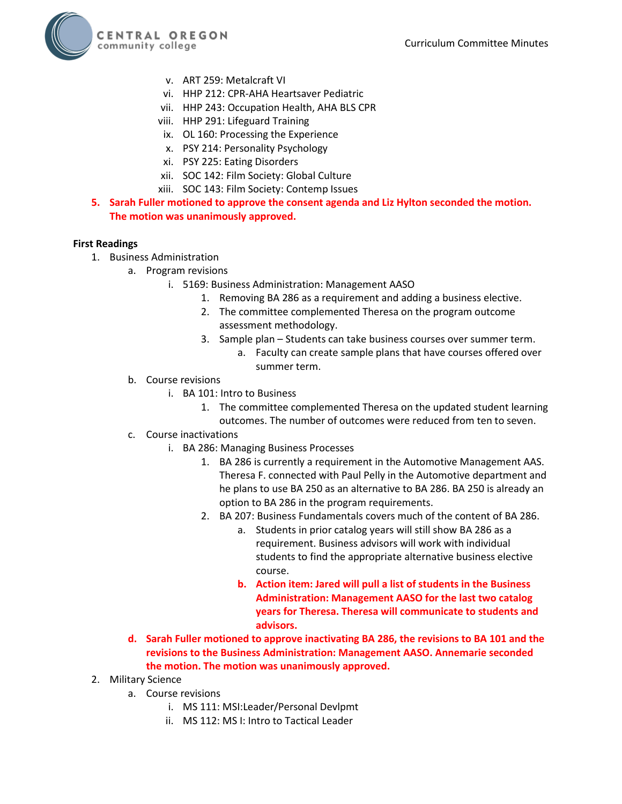

- v. ART 259: Metalcraft VI
- vi. HHP 212: CPR-AHA Heartsaver Pediatric
- vii. HHP 243: Occupation Health, AHA BLS CPR
- viii. HHP 291: Lifeguard Training
- ix. OL 160: Processing the Experience
- x. PSY 214: Personality Psychology
- xi. PSY 225: Eating Disorders
- xii. SOC 142: Film Society: Global Culture
- xiii. SOC 143: Film Society: Contemp Issues
- **5. Sarah Fuller motioned to approve the consent agenda and Liz Hylton seconded the motion. The motion was unanimously approved.**

#### **First Readings**

- 1. Business Administration
	- a. Program revisions
		- i. 5169: Business Administration: Management AASO
			- 1. Removing BA 286 as a requirement and adding a business elective.
			- 2. The committee complemented Theresa on the program outcome assessment methodology.
			- 3. Sample plan Students can take business courses over summer term.
				- a. Faculty can create sample plans that have courses offered over summer term.
	- b. Course revisions
		- i. BA 101: Intro to Business
			- 1. The committee complemented Theresa on the updated student learning outcomes. The number of outcomes were reduced from ten to seven.
	- c. Course inactivations
		- i. BA 286: Managing Business Processes
			- 1. BA 286 is currently a requirement in the Automotive Management AAS. Theresa F. connected with Paul Pelly in the Automotive department and he plans to use BA 250 as an alternative to BA 286. BA 250 is already an option to BA 286 in the program requirements.
			- 2. BA 207: Business Fundamentals covers much of the content of BA 286.
				- a. Students in prior catalog years will still show BA 286 as a requirement. Business advisors will work with individual students to find the appropriate alternative business elective course.
				- **b. Action item: Jared will pull a list of students in the Business Administration: Management AASO for the last two catalog years for Theresa. Theresa will communicate to students and advisors.**
	- **d. Sarah Fuller motioned to approve inactivating BA 286, the revisions to BA 101 and the revisions to the Business Administration: Management AASO. Annemarie seconded the motion. The motion was unanimously approved.**
- 2. Military Science
	- a. Course revisions
		- i. MS 111: MSI:Leader/Personal Devlpmt
		- ii. MS 112: MS I: Intro to Tactical Leader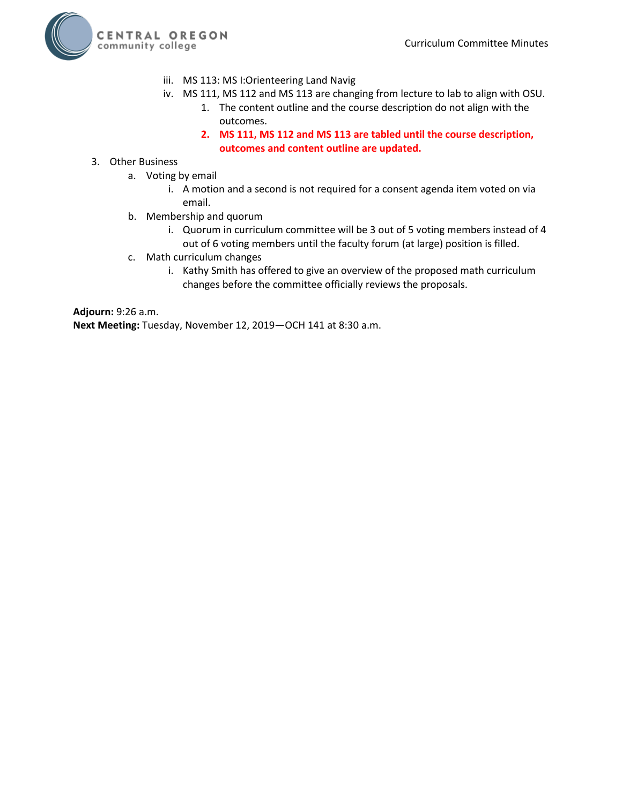

- iii. MS 113: MS I:Orienteering Land Navig
- iv. MS 111, MS 112 and MS 113 are changing from lecture to lab to align with OSU.
	- 1. The content outline and the course description do not align with the outcomes.
	- **2. MS 111, MS 112 and MS 113 are tabled until the course description, outcomes and content outline are updated.**
- 3. Other Business
	- a. Voting by email
		- i. A motion and a second is not required for a consent agenda item voted on via email.
	- b. Membership and quorum
		- i. Quorum in curriculum committee will be 3 out of 5 voting members instead of 4 out of 6 voting members until the faculty forum (at large) position is filled.
	- c. Math curriculum changes
		- i. Kathy Smith has offered to give an overview of the proposed math curriculum changes before the committee officially reviews the proposals.

**Adjourn:** 9:26 a.m.

**Next Meeting:** Tuesday, November 12, 2019—OCH 141 at 8:30 a.m.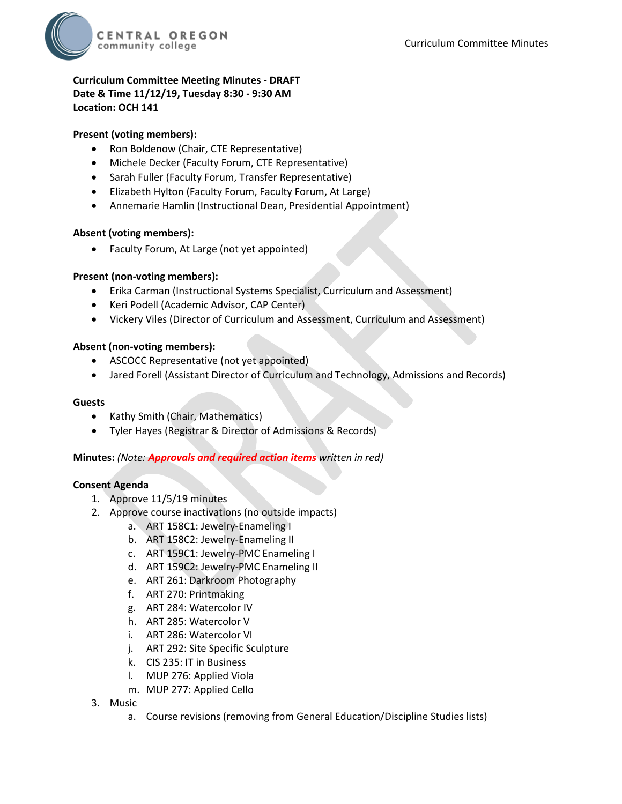

## **Curriculum Committee Meeting Minutes - DRAFT Date & Time 11/12/19, Tuesday 8:30 - 9:30 AM Location: OCH 141**

## **Present (voting members):**

- Ron Boldenow (Chair, CTE Representative)
- Michele Decker (Faculty Forum, CTE Representative)
- Sarah Fuller (Faculty Forum, Transfer Representative)
- Elizabeth Hylton (Faculty Forum, Faculty Forum, At Large)
- Annemarie Hamlin (Instructional Dean, Presidential Appointment)

### **Absent (voting members):**

• Faculty Forum, At Large (not yet appointed)

### **Present (non-voting members):**

- Erika Carman (Instructional Systems Specialist, Curriculum and Assessment)
- Keri Podell (Academic Advisor, CAP Center)
- Vickery Viles (Director of Curriculum and Assessment, Curriculum and Assessment)

### **Absent (non-voting members):**

- ASCOCC Representative (not yet appointed)
- Jared Forell (Assistant Director of Curriculum and Technology, Admissions and Records)

#### **Guests**

- Kathy Smith (Chair, Mathematics)
- Tyler Hayes (Registrar & Director of Admissions & Records)

### **Minutes:** *(Note: Approvals and required action items written in red)*

### **Consent Agenda**

- 1. Approve 11/5/19 minutes
- 2. Approve course inactivations (no outside impacts)
	- a. ART 158C1: Jewelry-Enameling I
	- b. ART 158C2: Jewelry-Enameling II
	- c. ART 159C1: Jewelry-PMC Enameling I
	- d. ART 159C2: Jewelry-PMC Enameling II
	- e. ART 261: Darkroom Photography
	- f. ART 270: Printmaking
	- g. ART 284: Watercolor IV
	- h. ART 285: Watercolor V
	- i. ART 286: Watercolor VI
	- j. ART 292: Site Specific Sculpture
	- k. CIS 235: IT in Business
	- l. MUP 276: Applied Viola
	- m. MUP 277: Applied Cello
- 3. Music
	- a. Course revisions (removing from General Education/Discipline Studies lists)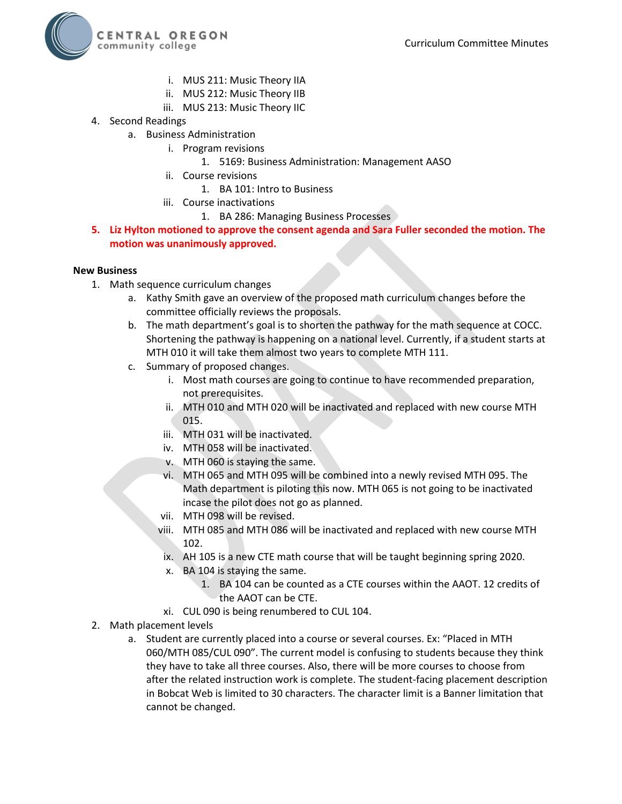

- i. MUS 211: Music Theory IIA
- ii. MUS 212: Music Theory IIB
- iii. MUS 213: Music Theory IIC
- 4. Second Readings
	- a. Business Administration
		- i. Program revisions
			- 1. 5169: Business Administration: Management AASO
		- ii. Course revisions
			- 1. BA 101: Intro to Business
		- iii. Course inactivations
			- 1. BA 286: Managing Business Processes
- **5. Liz Hylton motioned to approve the consent agenda and Sara Fuller seconded the motion. The motion was unanimously approved.**

#### **New Business**

- 1. Math sequence curriculum changes
	- a. Kathy Smith gave an overview of the proposed math curriculum changes before the committee officially reviews the proposals.
	- b. The math department's goal is to shorten the pathway for the math sequence at COCC. Shortening the pathway is happening on a national level. Currently, if a student starts at MTH 010 it will take them almost two years to complete MTH 111.
	- c. Summary of proposed changes.
		- i. Most math courses are going to continue to have recommended preparation, not prerequisites.
		- ii. MTH 010 and MTH 020 will be inactivated and replaced with new course MTH 015.
		- iii. MTH 031 will be inactivated.
		- iv. MTH 058 will be inactivated.
		- v. MTH 060 is staying the same.
		- vi. MTH 065 and MTH 095 will be combined into a newly revised MTH 095. The Math department is piloting this now. MTH 065 is not going to be inactivated incase the pilot does not go as planned.
		- vii. MTH 098 will be revised.
		- viii. MTH 085 and MTH 086 will be inactivated and replaced with new course MTH 102.
		- ix. AH 105 is a new CTE math course that will be taught beginning spring 2020.
		- x. BA 104 is staying the same.
			- 1. BA 104 can be counted as a CTE courses within the AAOT. 12 credits of the AAOT can be CTE.
		- xi. CUL 090 is being renumbered to CUL 104.
- 2. Math placement levels
	- a. Student are currently placed into a course or several courses. Ex: "Placed in MTH 060/MTH 085/CUL 090". The current model is confusing to students because they think they have to take all three courses. Also, there will be more courses to choose from after the related instruction work is complete. The student-facing placement description in Bobcat Web is limited to 30 characters. The character limit is a Banner limitation that cannot be changed.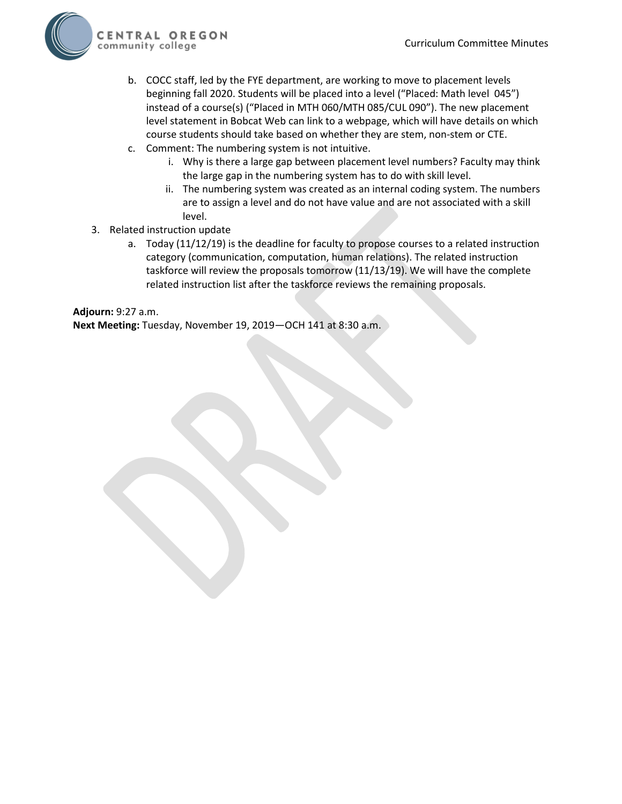

- b. COCC staff, led by the FYE department, are working to move to placement levels beginning fall 2020. Students will be placed into a level ("Placed: Math level 045") instead of a course(s) ("Placed in MTH 060/MTH 085/CUL 090"). The new placement level statement in Bobcat Web can link to a webpage, which will have details on which course students should take based on whether they are stem, non-stem or CTE.
- c. Comment: The numbering system is not intuitive.
	- i. Why is there a large gap between placement level numbers? Faculty may think the large gap in the numbering system has to do with skill level.
	- ii. The numbering system was created as an internal coding system. The numbers are to assign a level and do not have value and are not associated with a skill level.
- 3. Related instruction update
	- a. Today (11/12/19) is the deadline for faculty to propose courses to a related instruction category (communication, computation, human relations). The related instruction taskforce will review the proposals tomorrow (11/13/19). We will have the complete related instruction list after the taskforce reviews the remaining proposals.

# **Adjourn:** 9:27 a.m. **Next Meeting:** Tuesday, November 19, 2019—OCH 141 at 8:30 a.m.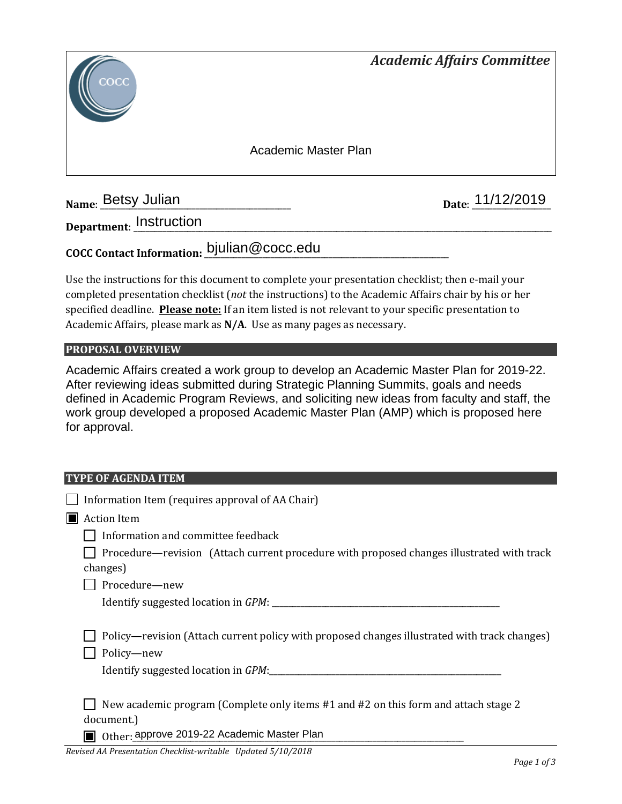

**Name: Betsy Julian** 

Date: 11/12/2019

**Department**: \_\_\_\_\_\_\_\_\_\_\_\_\_\_\_\_\_\_\_\_\_\_\_\_\_\_\_\_\_\_\_\_\_\_\_\_\_\_\_\_\_\_\_\_\_\_\_\_\_\_\_\_\_\_\_\_\_\_\_\_\_\_\_\_\_\_\_\_\_\_\_\_\_\_\_\_\_\_\_\_\_\_\_\_\_\_\_\_\_\_\_\_\_\_\_\_\_\_\_\_\_ Instruction

**COCC Contact Information:** \_\_\_\_\_\_\_\_\_\_\_\_\_\_\_\_\_\_\_\_\_\_\_\_\_\_\_\_\_\_\_\_\_\_\_\_\_\_\_\_\_\_\_\_\_\_\_\_\_\_\_\_\_\_\_\_\_\_\_ bjulian@cocc.edu

Use the instructions for this document to complete your presentation checklist; then e-mail your completed presentation checklist (*not* the instructions) to the Academic Affairs chair by his or her specified deadline. **Please note:** If an item listed is not relevant to your specific presentation to Academic Affairs, please mark as **N/A**. Use as many pages as necessary.

## **PROPOSAL OVERVIEW**

Academic Affairs created a work group to develop an Academic Master Plan for 2019-22. After reviewing ideas submitted during Strategic Planning Summits, goals and needs defined in Academic Program Reviews, and soliciting new ideas from faculty and staff, the work group developed a proposed Academic Master Plan (AMP) which is proposed here for approval.

### **TYPE OF AGENDA ITEM**

|                | Information Item (requires approval of AA Chair)                                                                                                  |  |
|----------------|---------------------------------------------------------------------------------------------------------------------------------------------------|--|
| $\blacksquare$ | <b>Action Item</b>                                                                                                                                |  |
|                | Information and committee feedback                                                                                                                |  |
|                | Procedure—revision (Attach current procedure with proposed changes illustrated with track<br>changes)                                             |  |
|                | Procedure-new                                                                                                                                     |  |
|                |                                                                                                                                                   |  |
|                | Policy—revision (Attach current policy with proposed changes illustrated with track changes)<br>Policy-new<br>Identify suggested location in GPM: |  |
|                | New academic program (Complete only items #1 and #2 on this form and attach stage 2<br>document.)                                                 |  |
|                | Other: approve 2019-22 Academic Master Plan                                                                                                       |  |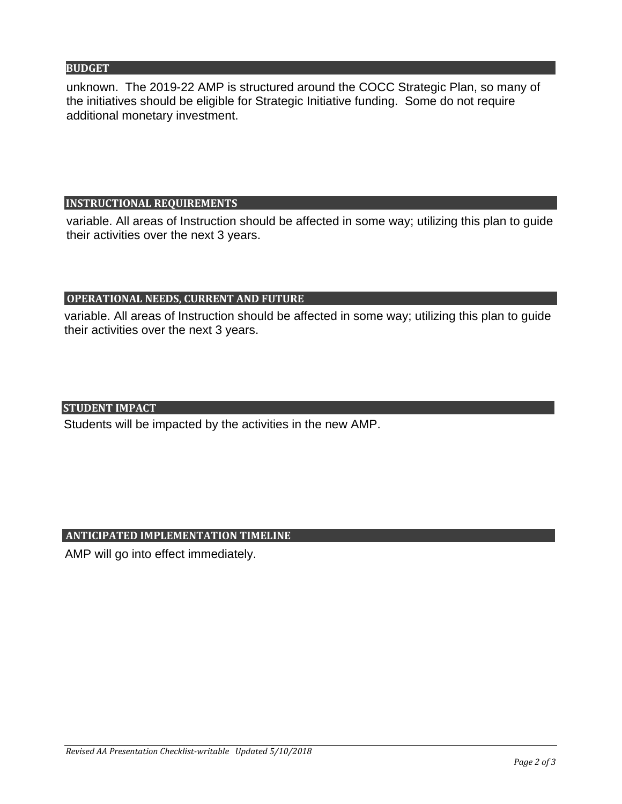## **BUDGET**

unknown. The 2019-22 AMP is structured around the COCC Strategic Plan, so many of the initiatives should be eligible for Strategic Initiative funding. Some do not require additional monetary investment.

## **INSTRUCTIONAL REQUIREMENTS**

variable. All areas of Instruction should be affected in some way; utilizing this plan to guide their activities over the next 3 years.

# **OPERATIONAL NEEDS, CURRENT AND FUTURE**

variable. All areas of Instruction should be affected in some way; utilizing this plan to guide their activities over the next 3 years.

## **STUDENT IMPACT**

Students will be impacted by the activities in the new AMP.

# **ANTICIPATED IMPLEMENTATION TIMELINE**

AMP will go into effect immediately.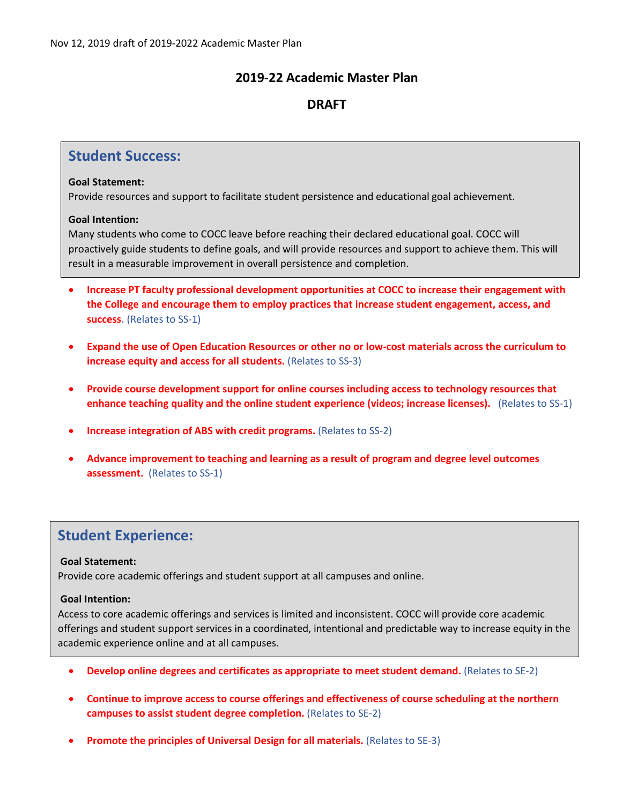# **2019-22 Academic Master Plan**

# **DRAFT**

# **Student Success:**

#### **Goal Statement:**

Provide resources and support to facilitate student persistence and educational goal achievement.

### **Goal Intention:**

Many students who come to COCC leave before reaching their declared educational goal. COCC will proactively guide students to define goals, and will provide resources and support to achieve them. This will result in a measurable improvement in overall persistence and completion.

- **Increase PT faculty professional development opportunities at COCC to increase their engagement with the College and encourage them to employ practices that increase student engagement, access, and success.** (Relates to SS-1)
- **Expand the use of Open Education Resources or other no or low-cost materials across the curriculum to increase equity and access for all students.** (Relates to SS-3)
- **Provide course development support for online courses including access to technology resources that enhance teaching quality and the online student experience (videos; increase licenses).** (Relates to SS-1)
- **Increase integration of ABS with credit programs.** (Relates to SS-2)
- **Advance improvement to teaching and learning as a result of program and degree level outcomes assessment.** (Relates to SS-1)

# **Student Experience:**

### **Goal Statement:**

Provide core academic offerings and student support at all campuses and online.

### **Goal Intention:**

Access to core academic offerings and services is limited and inconsistent. COCC will provide core academic offerings and student support services in a coordinated, intentional and predictable way to increase equity in the academic experience online and at all campuses.

- **Develop online degrees and certificates as appropriate to meet student demand.** (Relates to SE-2)
- **Continue to improve access to course offerings and effectiveness of course scheduling at the northern campuses to assist student degree completion.** (Relates to SE-2)
- **Promote the principles of Universal Design for all materials.** (Relates to SE-3)